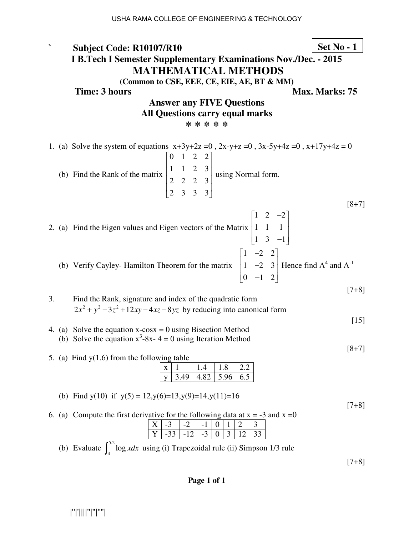**` Subject Code: R10107/R10 I B.Tech I Semester Supplementary Examinations Nov./Dec. - 2015 MATHEMATICAL METHODS (Common to CSE, EEE, CE, EIE, AE, BT & MM) Time: 3 hours** Max. Marks: 75 **Answer any FIVE Questions All Questions carry equal marks \* \* \* \* \*** 1. (a) Solve the system of equations  $x+3y+2z = 0$ ,  $2x-y+z = 0$ ,  $3x-5y+4z = 0$ ,  $x+17y+4z = 0$  (b) Find the Rank of the matrix  $\begin{bmatrix} 0 & 1 & 2 & 2 \end{bmatrix}$ 1 1 2 3 2 2 2 3 2 3 3 3  $\begin{vmatrix} 1 & 1 & 2 & 2 \end{vmatrix}$  $\begin{vmatrix} 1 & 1 & 2 & 3 \end{vmatrix}$  $\begin{vmatrix} 2 & 2 & 2 & 3 \end{vmatrix}$  $\begin{bmatrix} 2 & 3 & 3 & 3 \end{bmatrix}$  using Normal form. [8+7] 2. (a) Find the Eigen values and Eigen vectors of the Matrix  $1 \t2 \t-2$ 1 1 1  $1 \quad 3 \quad -1$  $\begin{bmatrix} 1 & 2 & -2 \end{bmatrix}$  $\begin{bmatrix} 1 & 1 & 1 \end{bmatrix}$  $\begin{bmatrix} 1 & 1 & 1 \end{bmatrix}$  $\begin{bmatrix} 1 & 3 & -1 \end{bmatrix}$  (b) Verify Cayley- Hamilton Theorem for the matrix  $1 -2 2$  $1 -2 3$  $\begin{bmatrix} 0 & -1 & 2 \end{bmatrix}$  $\begin{bmatrix} 1 & -2 & 2 \end{bmatrix}$ | 1 −2 3 | Hence find  $A^4$  and  $A^{-1}$ [7+8] 3. Find the Rank, signature and index of the quadratic form  $2x^2 + y^2 - 3z^2 + 12xy - 4xz - 8yz$  by reducing into canonical form  $[15]$ 4. (a) Solve the equation  $x$ -cos $x = 0$  using Bisection Method (b) Solve the equation  $x^3$ -8x- 4 = 0 using Iteration Method [8+7] 5. (a) Find y(1.6) from the following table  $x | 1 | 1.4 | 1.8 | 2.2$  $\sqrt{3.49}$  4.82 5.96 6.5 (b) Find y(10) if  $y(5) = 12$ ,  $y(6)=13$ ,  $y(9)=14$ ,  $y(11)=16$ [7+8] 6. (a) Compute the first derivative for the following data at  $x = -3$  and  $x =0$  $X$  -3 -2 -1 0 1 2 3  $\boxed{Y}$  -33 -12 -3 0 3 12 33 (b) Evaluate  $\int_{0}^{5.2}$  $\int_{4}^{3.2}$  log *xdx* using (i) Trapezoidal rule (ii) Simpson 1/3 rule **Set No - 1**

USHA RAMA COLLEGE OF ENGINEERING & TECHNOLOGY

[7+8]